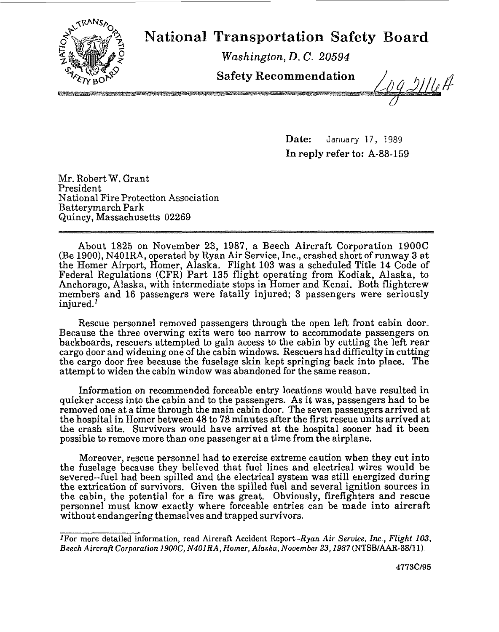

## **National Transportation Safety Board**

*Washington, D.* **C. 20594** 

**Safety Recommendation** 

09 2116 A

Date: January 17, 1989 In reply refer to: A-88-159

Mr. Robert W. Grant President National Fire Protection Association Batterymarch Park Quincy, Massachusetts 02269

About 1825 on November **23,** 1987, a Beech Aircraft Corporation 1900C (Be 1900), N401RA, operated by Ryan Air Service, Inc., crashed short of runway 3 at Federal Regulations (CFR) Part 135 flight operating from Kodiak, Alaska, to Anchorage, Alaska, with intermediate stops in Homer and Kenai. Both flightcrew members and 16 passengers were fatally injured; **3** passengers were seriously injured.' the Homer Airport, Homer, Alaska. Flight 103 was a scheduled Title 14 Code of

Rescue personnel removed passengers through the open left front cabin door. Because the three overwing exits were too narrow to accommodate passengers on backboards, rescuers attempted to gain access to the cabin by cutting the left rear cargo door and widening one of the cabin windows. Rescuers had difficulty in cutting the cargo door free because the fuselage skin kept springing back into place. The attempt to widen the cabin window was abandoned for the same reason.

Information on recommended forceable entry locations would have resulted in quicker access into the cabin and to the passengers. As it was, passengers had to be removed one at a time through the main cabin door. The seven passengers arrived at the hospital in Homer between 48 to 78 minutes after the first rescue units arrived at the crash site. Survivors would have arrived at the hospital sooner had **it** been possible to remove more than one passenger at a time from the airplane.

Moreover, rescue personnel had to exercise extreme caution when they cut into the fuselage because they believed that fuel lines and electrical wires would be severed--fuel had been spilled and the electrical system was still energized during the extrication of survivors. Given the spilled fuel and several ignition sources in the cabin, the potential for a fire was great. Obviously, firefighters and rescue personnel must know exactly where forceable entries can be made into aircraft without endangering themselves and trapped survivors.

**JFor** *more detailed information, read Aircraft Accident Report-Ryan Air Seruice. Inc* , *Flighf 103, Beech Aircraft Corporation 19OOC, N401RA, Homer, Alaska, November 23,1987* **(NTSBIAAR-88I11).**